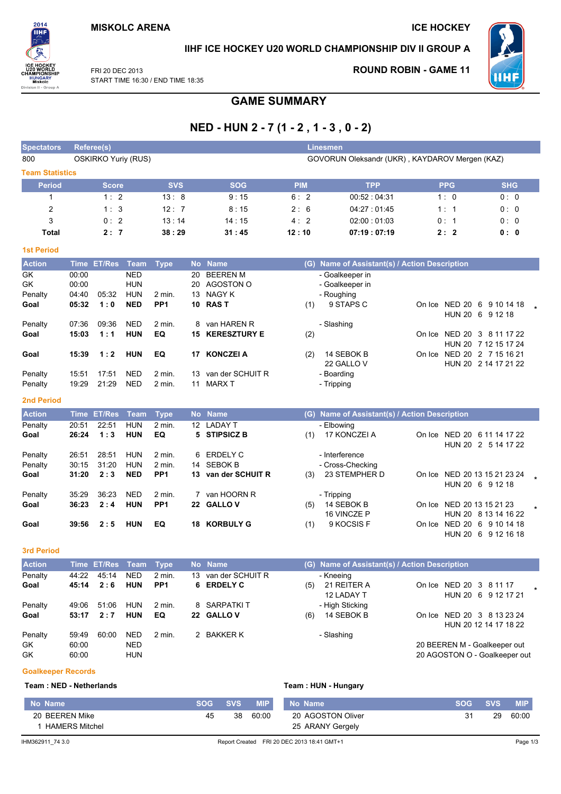**ICE HOCKEY** 

**ROUND ROBIN - GAME 11** 



IIHF ICE HOCKEY U20 WORLD CHAMPIONSHIP DIV II GROUP A



FRI 20 DEC 2013 START TIME 16:30 / END TIME 18:35

# **GAME SUMMARY**

# NED - HUN 2 - 7 (1 - 2, 1 - 3, 0 - 2)

| <b>Spectators</b>      |                | Referee(s)                 |                          |                           |                  |                                 |            | <b>Linesmen</b>                                |            |                                                    |  |
|------------------------|----------------|----------------------------|--------------------------|---------------------------|------------------|---------------------------------|------------|------------------------------------------------|------------|----------------------------------------------------|--|
| 800                    |                | <b>OSKIRKO Yuriy (RUS)</b> |                          |                           |                  |                                 |            | GOVORUN Oleksandr (UKR), KAYDAROV Mergen (KAZ) |            |                                                    |  |
| <b>Team Statistics</b> |                |                            |                          |                           |                  |                                 |            |                                                |            |                                                    |  |
| <b>Period</b>          |                | <b>Score</b>               |                          | <b>SVS</b>                |                  | <b>SOG</b>                      | <b>PIM</b> | <b>TPP</b>                                     | <b>PPG</b> | <b>SHG</b>                                         |  |
| 1                      |                | 1:2                        |                          | 13:8                      |                  | 9:15                            | 6:2        | 00:52:04:31                                    | 1:0        | 0:0                                                |  |
| $\overline{c}$         |                | 1:3                        |                          | 12:7                      |                  | 8:15                            | 2:6        | 04:27:01:45                                    | 1:1        | 0: 0                                               |  |
| 3                      |                | 0:2                        |                          | 13:14                     |                  | 14:15                           | 4:2        | 02:00:01:03                                    | 0:1        | 0:0                                                |  |
| <b>Total</b>           |                | 2:7                        |                          | 38:29                     |                  | 31:45                           | 12:10      | 07:19:07:19                                    | 2:2        | 0:0                                                |  |
| <b>1st Period</b>      |                |                            |                          |                           |                  |                                 |            |                                                |            |                                                    |  |
| <b>Action</b>          | <b>Time</b>    | <b>ET/Res</b>              | <b>Team</b>              | <b>Type</b>               | <b>No</b>        | <b>Name</b>                     |            | (G) Name of Assistant(s) / Action Description  |            |                                                    |  |
| GK<br>GK               | 00:00<br>00:00 |                            | <b>NED</b><br><b>HUN</b> |                           | 20               | <b>BEEREN M</b><br>20 AGOSTON O |            | - Goalkeeper in<br>- Goalkeeper in             |            |                                                    |  |
| Penalty                | 04:40          | 05:32                      | HUN                      | 2 min.                    | 13               | NAGY K                          |            | - Roughing                                     |            |                                                    |  |
| Goal                   | 05:32          | 1:0                        | <b>NED</b>               | PP <sub>1</sub>           |                  | 10 RAST                         | (1)        | 9 STAPS C                                      |            | On Ice NED 20 6 9 10 14 18<br>HUN 20 6 9 12 18     |  |
| Penalty                | 07:36          | 09:36                      | <b>NED</b>               | 2 min.                    | 8                | van HAREN R                     |            | - Slashing                                     |            |                                                    |  |
| Goal                   | 15:03          | 1:1                        | <b>HUN</b>               | EQ                        |                  | <b>15 KERESZTURY E</b>          | (2)        |                                                |            | On Ice NED 20 3 8 11 17 22                         |  |
|                        |                |                            |                          |                           |                  |                                 |            |                                                |            | HUN 20 7 12 15 17 24                               |  |
| Goal                   | 15:39          | 1:2                        | <b>HUN</b>               | EQ                        | 17               | <b>KONCZEI A</b>                | (2)        | 14 SEBOK B                                     |            | On Ice NED 20 2 7 15 16 21                         |  |
| Penalty                | 15:51          | 17:51                      | <b>NED</b>               | $2$ min.                  | 13               | van der SCHUIT R                |            | 22 GALLO V<br>- Boarding                       |            | HUN 20 2 14 17 21 22                               |  |
| Penalty                | 19:29          | 21:29                      | <b>NED</b>               | $2$ min.                  | 11               | <b>MARX T</b>                   |            | - Tripping                                     |            |                                                    |  |
| <b>2nd Period</b>      |                |                            |                          |                           |                  |                                 |            |                                                |            |                                                    |  |
| <b>Action</b>          | <b>Time</b>    | <b>ET/Res</b>              | <b>Team</b>              | <b>Type</b>               |                  | No Name                         |            | (G) Name of Assistant(s) / Action Description  |            |                                                    |  |
| Penalty                | 20:51          | 22:51                      | <b>HUN</b>               | $2$ min.                  | 12 <sup>12</sup> | <b>LADAY T</b>                  |            | - Elbowing                                     |            |                                                    |  |
| Goal                   | 26:24          | 1:3                        | <b>HUN</b>               | EQ                        |                  | 5 STIPSICZ B                    | (1)        | 17 KONCZEI A                                   |            | On Ice NED 20 6 11 14 17 22<br>HUN 20 2 5 14 17 22 |  |
| Penalty                | 26:51          | 28:51                      | <b>HUN</b>               | $2$ min.                  |                  | 6 ERDELY C                      |            | - Interference                                 |            |                                                    |  |
| Penalty                | 30:15          | 31:20                      | <b>HUN</b>               | 2 min.                    | 14               | <b>SEBOK B</b>                  |            | - Cross-Checking                               |            |                                                    |  |
| Goal                   | 31:20          | 2:3                        | <b>NED</b>               | PP <sub>1</sub>           |                  | 13 van der SCHUIT R             | (3)        | 23 STEMPHER D                                  |            | On Ice NED 20 13 15 21 23 24                       |  |
|                        |                | 36:23                      | <b>NED</b>               |                           |                  | 7 van HOORN R                   |            |                                                |            | HUN 20 6 9 12 18                                   |  |
| Penalty<br>Goal        | 35:29<br>36:23 | 2:4                        | <b>HUN</b>               | 2 min.<br>PP <sub>1</sub> |                  | 22 GALLOV                       | (5)        | - Tripping<br>14 SEBOK B                       |            | On Ice NED 20 13 15 21 23                          |  |
|                        |                |                            |                          |                           |                  |                                 |            | 16 VINCZE P                                    |            | HUN 20 8 13 14 16 22                               |  |
| Goal                   | 39:56          | 2:5                        | <b>HUN</b>               | EQ                        |                  | <b>18 KORBULY G</b>             | (1)        | 9 KOCSIS F                                     |            | On Ice NED 20 6 9 10 14 18                         |  |
|                        |                |                            |                          |                           |                  |                                 |            |                                                |            | HUN 20 6 9 12 16 18                                |  |
| <b>3rd Period</b>      |                |                            |                          |                           |                  |                                 |            |                                                |            |                                                    |  |
| <b>Action</b>          |                | Time ET/Res                | <b>Team</b>              | <b>Type</b>               | <b>No</b>        | <b>Name</b>                     |            | (G) Name of Assistant(s) / Action Description  |            |                                                    |  |
| Penalty                | 44:22          | 45:14                      | <b>NED</b>               | 2 min.                    | 13               | van der SCHUIT R                |            | - Kneeing                                      |            |                                                    |  |
| Goal                   | 45:14          | 2:6                        | <b>HUN</b>               | PP <sub>1</sub>           | 6                | <b>ERDELY C</b>                 | (5)        | 21 REITER A                                    |            | On Ice NED 20 3 8 11 17                            |  |

| Penalty |       | 44.ZZ 45.14 | NED        | z min.          | <b>13 van der SCHUILK</b> |     | - Krieelrig     |                               |  |
|---------|-------|-------------|------------|-----------------|---------------------------|-----|-----------------|-------------------------------|--|
| Goal    | 45:14 | 2:6         | HUN        | PP <sub>1</sub> | 6 ERDELY C                | (5) | 21 REITER A     | On Ice NED 20 3 8 11 17       |  |
|         |       |             |            |                 |                           |     | 12 LADAY T      | HUN 20 6 9 12 17 21           |  |
| Penalty | 49:06 | 51:06       | HUN        | 2 min.          | 8 SARPATKIT               |     | - High Sticking |                               |  |
| Goal    | 53:17 | 2:7         | HUN        | EQ.             | 22 GALLOV                 | (6) | 14 SEBOK B      | On Ice NED 20 3 8 13 23 24    |  |
|         |       |             |            |                 |                           |     |                 | HUN 20 12 14 17 18 22         |  |
| Penalty | 59:49 | 60:00       | <b>NED</b> | $2$ min.        | 2 BAKKER K                |     | - Slashing      |                               |  |
| GK.     | 60:00 |             | <b>NED</b> |                 |                           |     |                 | 20 BEEREN M - Goalkeeper out  |  |
| GK      | 60:00 |             | <b>HUN</b> |                 |                           |     |                 | 20 AGOSTON O - Goalkeeper out |  |

#### **Goalkeeper Records**

### Team: NED - Netherlands

Team: HUN - Hungary

| 20 AGOSTON Oliver<br>29<br>20 BEEREN Mike<br>38<br>60:00<br>31<br>45<br><b>HAMERS Mitchel</b> |                  |
|-----------------------------------------------------------------------------------------------|------------------|
|                                                                                               | 25 ARANY Gergely |
|                                                                                               | 60:00            |
| <b>MIP</b><br>SVS.<br><b>SVS</b><br>No Name<br>No Name<br><b>SOG</b><br><b>SOG</b>            | <b>MIP</b>       |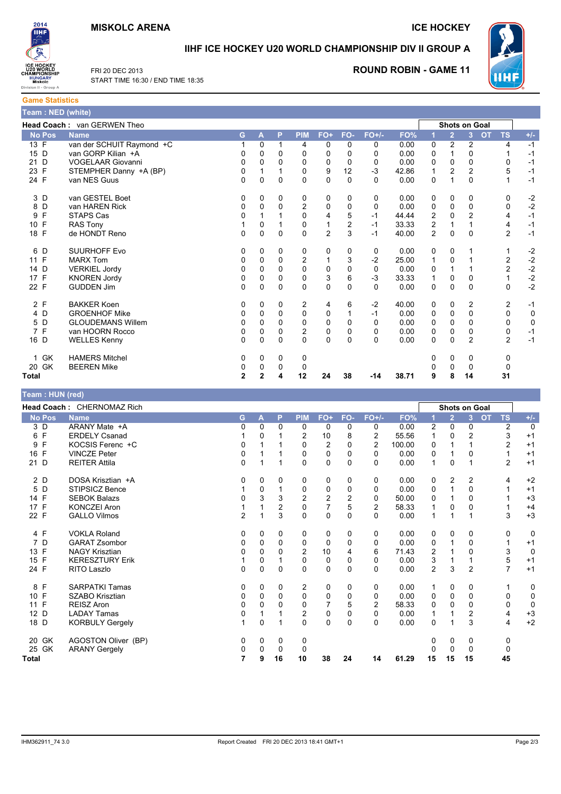## **MISKOLC ARENA**

**ICE HOCKEY** 



**Game Statistics** 

T

IIHF ICE HOCKEY U20 WORLD CHAMPIONSHIP DIV II GROUP A

 $\mathbf 0$ 

 $\Omega$ 

38

 $\overline{0}$ 

 $\Omega$ 

 $-14$ 

 $0.00$ 

 $0.00$ 

38.71

 $\mathbf 0$  $\mathbf 0$ 

 $\Omega$ 

 $\overline{0}$  $\overline{0}$  $\overline{0}$ 

 $\mathbf 0$  $\mathbf 0$ 

9 8

 $\Omega$ 

 $\mathbf 0$ 

 $\mathcal{P}$ 

 $\mathbf{0}$ 

 $14$ 



**TS**  $\overline{4}$ 

 $\overline{1}$ 

 $\Omega$ 

 $\overline{5}$ 

 $\mathbf{1}$ 

 $\mathbf 0$ 

 $\mathbf 0$ 

 $\overline{4}$  $\overline{\mathbf{A}}$ 

 $\overline{2}$ 

 $\mathbf{1}$ 

 $\mathcal{P}$  $\mathcal{L}$ 

 $\mathbf{1}$ 

 $\mathbf 0$ 

 $\overline{c}$ 

 $\Omega$ 

 $\pmb{0}$ 

 $\mathbf 0$ 

 $\mathcal{P}$ 

 $\overline{0}$ 

 $\Omega$ 

 $31$ 

 $-1$ 

 $-1$ 

 $-1$ 

 $-1$ 

 $-1$ 

 $-2$ 

 $-2$  $-1$ 

 $-1$ 

 $-1$ 

 $-2$  $-2$ 

 $\overline{c}$ 

 $-2$ 

 $\overline{c}$ 

 $-1$ 

 $\Omega$ 

 $\pmb{0}$ 

 $-1$ 

 $-1$ 

ERL20 DEC 2013 START TIME 16:30 / END TIME 18:35

# **ROUND ROBIN - GAME 11**

|      |        | 「eam:NED (white)            |    |   |          |                |                |     |          |       |                |                      |                |           |
|------|--------|-----------------------------|----|---|----------|----------------|----------------|-----|----------|-------|----------------|----------------------|----------------|-----------|
|      |        | Head Coach: van GERWEN Theo |    |   |          |                |                |     |          |       |                | <b>Shots on Goal</b> |                |           |
|      | No Pos | <b>Name</b>                 | G. | A | P        | <b>PIM</b>     | FO+            | FO- | $FO+/-$  | FO%   |                | $\overline{2}$       | 3              | <b>OT</b> |
| 13 F |        | van der SCHUIT Raymond +C   |    | 0 |          | 4              | 0              | 0   | $\Omega$ | 0.00  | 0              | $\overline{c}$       | $\overline{2}$ |           |
| 15 D |        | van GORP Kilian +A          | 0  | 0 | 0        | 0              | 0              | 0   | 0        | 0.00  | 0              |                      | $\Omega$       |           |
| 21 D |        | <b>VOGELAAR Giovanni</b>    | 0  | 0 | 0        | 0              | 0              | 0   | 0        | 0.00  | 0              | $\Omega$             | $\Omega$       |           |
| 23 F |        | STEMPHER Danny +A (BP)      | 0  |   |          | 0              | 9              | 12  | $-3$     | 42.86 |                | 2                    | $\overline{2}$ |           |
| 24 F |        | van NES Guus                | 0  | 0 | 0        | 0              | 0              | 0   | 0        | 0.00  | 0              |                      | 0              |           |
|      | 3 D    | van GESTEL Boet             | 0  | 0 | 0        | 0              | 0              | 0   | 0        | 0.00  | 0              | $\mathbf 0$          | 0              |           |
| 8    | D      | van HAREN Rick              | 0  | 0 | $\Omega$ | $\overline{2}$ | $\Omega$       | 0   | 0        | 0.00  | $\Omega$       | $\Omega$             | $\Omega$       |           |
| 9    | F      | STAPS Cas                   | 0  |   |          | $\Omega$       | 4              | 5   | $-1$     | 44.44 | $\overline{c}$ | $\Omega$             |                |           |
| 10 F |        | <b>RAS Tony</b>             |    | 0 |          | 0              |                | 2   | $-1$     | 33.33 | 2              |                      |                |           |
| 18 F |        | de HONDT Reno               | 0  | 0 | 0        | 0              | $\overline{2}$ | 3   | $-1$     | 40.00 | $\overline{2}$ | $\mathbf{0}$         | $\Omega$       |           |
|      | 6 D    | <b>SUURHOFF Evo</b>         | 0  | 0 | 0        | 0              | 0              | 0   | 0        | 0.00  | 0              | 0                    |                |           |
| 11 F |        | <b>MARX Tom</b>             | 0  | 0 | 0        | 2              |                | 3   | $-2$     | 25.00 |                | 0                    |                |           |
| 14 D |        | <b>VERKIEL Jordy</b>        | 0  | 0 | 0        | $\Omega$       | 0              | 0   | 0        | 0.00  | $\Omega$       |                      |                |           |
| 17 F |        | <b>KNOREN Jordy</b>         | 0  | 0 | 0        | 0              | 3              | 6   | $-3$     | 33.33 |                | 0                    | 0              |           |
| 22 F |        | <b>GUDDEN Jim</b>           | 0  | 0 | 0        | 0              | $\Omega$       | 0   | 0        | 0.00  | $\Omega$       | $\Omega$             | $\Omega$       |           |
|      | 2 F    | <b>BAKKER Koen</b>          | 0  | 0 | 0        | 2              | 4              | 6   | $-2$     | 40.00 | 0              | $\Omega$             | 2              |           |
|      | 4 D    | <b>GROENHOF Mike</b>        | 0  | 0 | 0        | 0              | 0              | 1   | $-1$     | 0.00  | 0              | 0                    | 0              |           |
|      | 5 D    | <b>GLOUDEMANS Willem</b>    | 0  | 0 | 0        | 0              | 0              | 0   | 0        | 0.00  | 0              | 0                    | 0              |           |
|      |        |                             |    |   |          |                |                |     |          |       |                |                      |                |           |

| Total                                         |      |                     | 2 2 4 |                             | -12                         | -24 |  |
|-----------------------------------------------|------|---------------------|-------|-----------------------------|-----------------------------|-----|--|
| 20 GK                                         |      | <b>BEEREN Mike</b>  | 0 0 0 |                             |                             |     |  |
|                                               | 1 GK | HAMERS Mitchel      |       | $0 \quad 0 \quad 0 \quad 0$ |                             |     |  |
| 16 D                                          |      | <b>WELLES Kenny</b> | 000   |                             |                             |     |  |
| $\left( \begin{array}{c} \end{array} \right)$ |      | van HOORN Rocco     |       |                             | $0 \quad 0 \quad 0 \quad 2$ |     |  |

#### Team: HUN (red) Head Coach: CHERNOMAZ Rich **Shots on Goal** No Pos PIN FO<sup>+</sup> FO.  $FO+/-$ **FO Name**  $\overline{G}$  $\overline{3}$  $\overline{O}$ **TS**  $\overline{2}$  $\overline{3}$  D ARANY Mate +A  $\overline{0}$  $\overline{0}$  $0.00$  $\overline{0}$  $\overline{0}$  $\overline{0}$  $\overline{0}$  $\overline{0}$  $\overline{2}$  $\overline{0}$  $\overline{z}$  $\overline{0}$  $\Omega$ 55.56  $6F$ **ERDELY Csanad**  $\mathsf{R}$  $\overline{2}$ 3  $\overline{1}$  $\Omega$  $\overline{1}$  $\overline{2}$  $10$  $\overline{1}$  $\Omega$  $\mathcal{D}$  $+1$ 9 F KOCSIS Ferenc +C  $\mathbf 0$  $\mathbf{1}$  $\mathbf{1}$  $\mathbf 0$  $\overline{2}$  $\mathbf 0$  $\overline{2}$ 100.00  $\mathbf 0$  $\mathbf{1}$  $\mathbf{1}$  $\overline{2}$  $+1$ **VINCZE Peter** 16 F  $\Omega$  $\overline{0}$  $\Omega$  $0.00$  $\mathbf{0}$  $\mathbf{0}$  $\overline{1}$  $\mathbf{1}$  $\Omega$  $\Omega$  $\overline{1}$  $\mathbf{1}$  $+1$ 21 D **REITER Attila**  $\mathbf 0$  $\overline{1}$  $\mathbf{1}$  $\mathbf 0$  $\mathbf 0$  $\mathbf 0$ 0  $0.00$  $\overline{1}$  $\Omega$  $\mathbf{1}$  $\mathcal{P}$  $+1$  $2D$ DOSA Krisztian +A  $\Omega$  $\Omega$  $\Omega$  $\Omega$  $\overline{0}$  $\Omega$  $0.00$  $\Omega$  $\overline{2}$  $\Omega$  $\mathcal{L}$  $\overline{\mathbf{A}}$  $+2$ 5 D STIPSICZ Bence  $\mathbf 0$  $\pmb{0}$  $\pmb{0}$  $\mathbf 0$  $\mathbf 0$  $0.00$  $\overline{0}$  $\overline{0}$  $\overline{1}$  $+1$  $\overline{1}$  $\overline{1}$  $\overline{1}$ 14 F **SEBOK Balazs**  $\overline{0}$ 3 3  $\overline{2}$  $\overline{2}$  $\overline{2}$  $\overline{0}$ 50.00  $\mathbf 0$  $\overline{0}$  $\mathbf{1}$  $+3$  $\overline{1}$  $17 F$ KONCZEL Aron  $\overline{7}$ 5  $\overline{c}$ 58.33  $\overline{1}$ 1  $\mathcal{P}$  $\Omega$  $\overline{1}$  $\Omega$  $\Omega$  $\mathbf{1}$  $+4$ 22 F **GALLO Vilmos**  $\overline{c}$ 3  $\pmb{0}$  $\pmb{0}$  $\mathbf 0$  $\mathbf 0$  $0.00$ 3  $+3$  $\mathbf{1}$  $\mathbf{1}$  $\mathbf{1}$  $\mathbf{1}$ 4 F **VOKLA Roland**  $\mathsf 0$  $\mathbf 0$  $\mathbf 0$  $\mathbf 0$  $0.00$  $\mathbf 0$  $\Omega$  $\Omega$  $\Omega$  $\Omega$  $\Omega$  $\Omega$  $\Omega$ 7 D **GARAT Zsombor**  $\mathbf 0$  $\mathbf 0$  $\overline{0}$  $\mathbf 0$  $\mathbf 0$  $\overline{0}$  $\overline{0}$  $0.00$  $\overline{0}$  $\overline{0}$  $\overline{1}$  $+1$  $\mathbf{1}$  $13 F$ **NAGY Krisztian**  $\Omega$  $\Omega$  $\Omega$  $\mathcal{P}$  $10$ 6 71.43  $\mathcal{P}$  $\Omega$  $\mathcal{R}$  $\overline{0}$  $\overline{4}$  $\overline{1}$  $15 F$ **KERESZTURY Erik**  $\overline{1}$  $\Omega$  $\overline{1}$  $\Omega$  $\Omega$  $\Omega$  $\Omega$  $0.00$  $\overline{3}$  $\overline{1}$  $\overline{1}$ 5  $+1$ 24 F RITO Laszlo  $\overline{0}$  $\mathbf 0$  $\mathbf 0$  $\mathbf 0$  $\mathbf 0$  $\overline{0}$  $0.00$  $\overline{2}$ 3  $\overline{2}$  $\overline{7}$  $+1$  $\mathbf 0$ 8 F **SARPATKI Tamas**  $\mathbf 0$  $\overline{2}$  $\overline{0}$  $\mathbf 0$  $\Omega$  $\mathbf 0$  $\mathbf 0$  $0.00$  $\overline{1}$  $\Omega$  $\Omega$  $\mathbf{1}$  $\mathbf 0$  $10 F$ SZABO Krisztian  $0.00$  $\mathbf 0$  $\mathbf 0$  $\mathbf 0$  $\mathbf 0$  $\mathbf 0$  $\mathbf 0$  $\mathbf 0$  $\mathbf 0$  $\mathbf 0$  $\mathbf 0$  $\mathbf 0$  $\Omega$  $11 F$  $\mathfrak{p}$ 58.33  $\Omega$  $\mathbf 0$ REISZ Aron  $\Omega$  $\Omega$  $\Omega$  $\Omega$  $\overline{7}$ 5  $\Omega$  $\Omega$  $\Omega$ 12 D **LADAY Tamas** 0  $\overline{a}$  $\pmb{0}$  $\mathbf 0$  $\mathbf 0$  $0.00$  $\mathbf{1}$  $\overline{2}$  $\overline{\mathbf{4}}$  $+3$  $\overline{1}$  $\overline{1}$  $\overline{1}$ 18 D **KORBULY Gergelv**  $\mathbf 0$  $\mathbf 0$  $0.00$  $\overline{0}$  $\overline{4}$  $\overline{0}$  $\mathbf 0$  $\overline{0}$ 3  $+2$  $\overline{1}$  $\overline{1}$  $\mathbf{1}$ 20 GK AGOSTON Oliver (BP)  $\mathbf 0$  $\mathbf 0$  $\mathbf 0$  $\pmb{0}$  $\mathbf 0$  $\mathbf 0$  $\mathbf 0$  $\pmb{0}$ 25 GK **ARANY Gergely**  $\mathbf 0$  $\Omega$  $\Omega$  $\Omega$  $\Omega$  $\Omega$  $\Omega$  $\Omega$ **Total** 9 16 10 38  $24$  $14$ 61.29 15 15 15 45 7